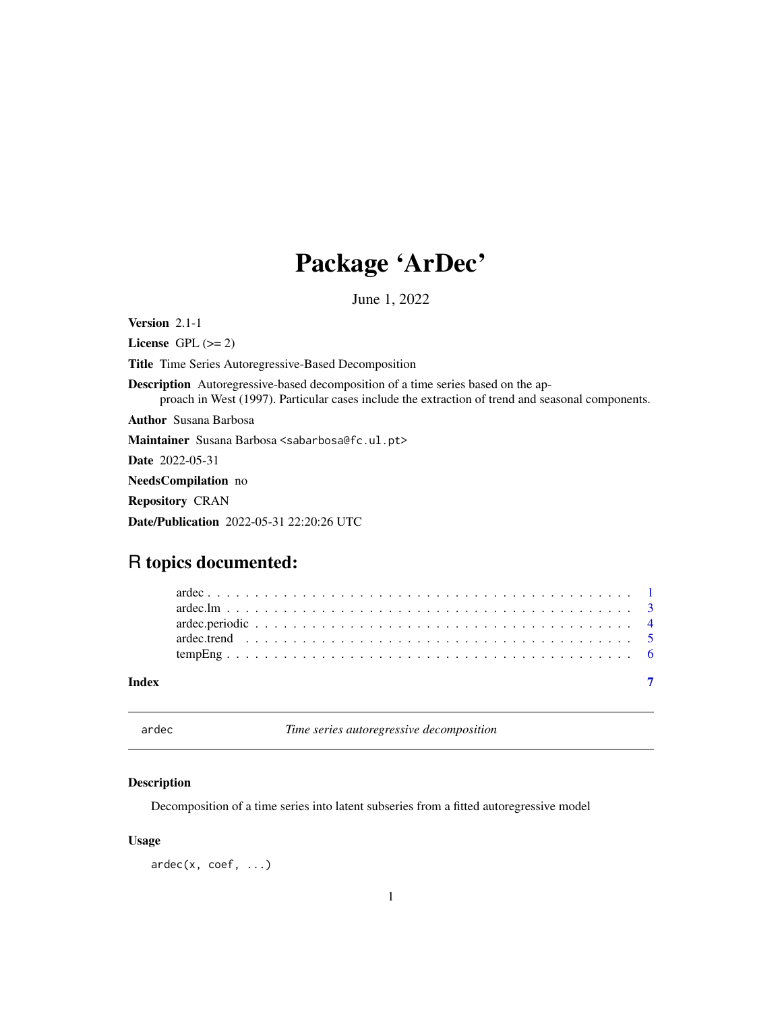# Package 'ArDec'

June 1, 2022

<span id="page-0-1"></span><span id="page-0-0"></span>Version 2.1-1 License GPL  $(>= 2)$ Title Time Series Autoregressive-Based Decomposition Description Autoregressive-based decomposition of a time series based on the approach in West (1997). Particular cases include the extraction of trend and seasonal components. Author Susana Barbosa Maintainer Susana Barbosa <sabarbosa@fc.ul.pt> Date 2022-05-31 NeedsCompilation no Repository CRAN Date/Publication 2022-05-31 22:20:26 UTC

# R topics documented:

| Index |  |  |  |  |  |  |  |  |  |  |  |  |  |  |  |  |  |  |  |
|-------|--|--|--|--|--|--|--|--|--|--|--|--|--|--|--|--|--|--|--|

ardec *Time series autoregressive decomposition*

# Description

Decomposition of a time series into latent subseries from a fitted autoregressive model

#### Usage

 $\text{ardec}(x, \text{ coef}, \ldots)$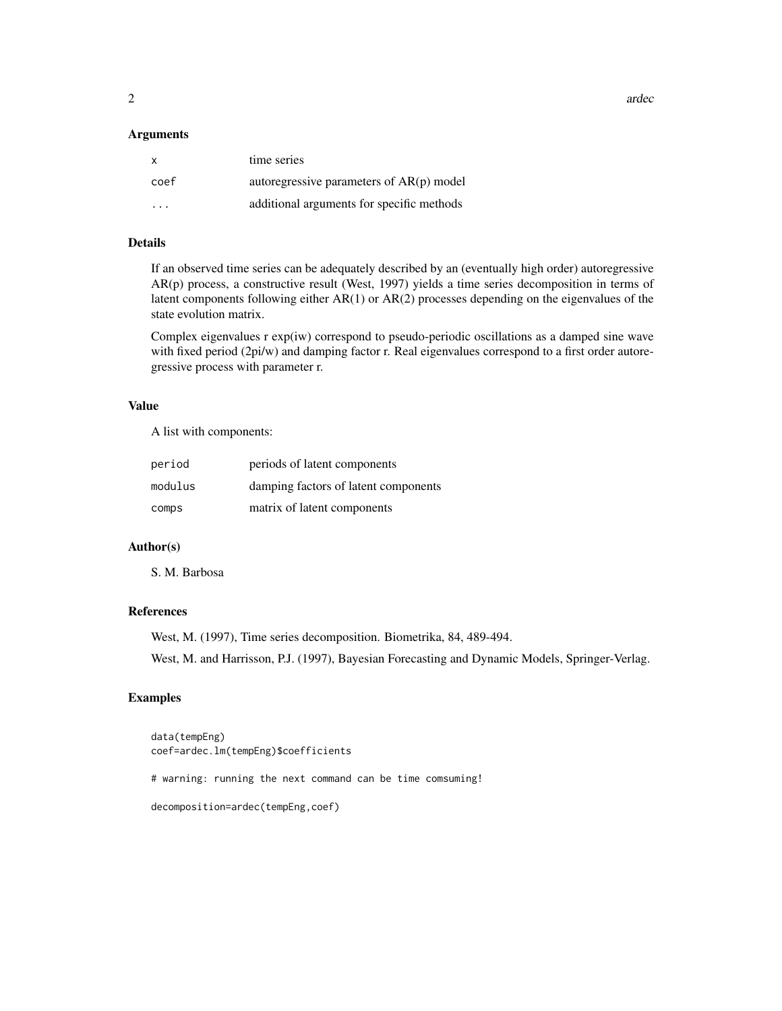2 ardec and 2 ardec and 2 ardec and 2 ardec and 2 ardec and 2 ardec and 2 ardec and 2 ardec and 2 ardec and 2

#### **Arguments**

| $\mathsf{x}$ | time series                                |
|--------------|--------------------------------------------|
| coef         | autoregressive parameters of $AR(p)$ model |
| .            | additional arguments for specific methods  |

#### Details

If an observed time series can be adequately described by an (eventually high order) autoregressive AR(p) process, a constructive result (West, 1997) yields a time series decomposition in terms of latent components following either AR(1) or AR(2) processes depending on the eigenvalues of the state evolution matrix.

Complex eigenvalues r exp(iw) correspond to pseudo-periodic oscillations as a damped sine wave with fixed period (2pi/w) and damping factor r. Real eigenvalues correspond to a first order autoregressive process with parameter r.

### Value

A list with components:

| period  | periods of latent components         |
|---------|--------------------------------------|
| modulus | damping factors of latent components |
| comps   | matrix of latent components          |

# Author(s)

S. M. Barbosa

# References

West, M. (1997), Time series decomposition. Biometrika, 84, 489-494.

West, M. and Harrisson, P.J. (1997), Bayesian Forecasting and Dynamic Models, Springer-Verlag.

#### Examples

data(tempEng) coef=ardec.lm(tempEng)\$coefficients # warning: running the next command can be time comsuming! decomposition=ardec(tempEng,coef)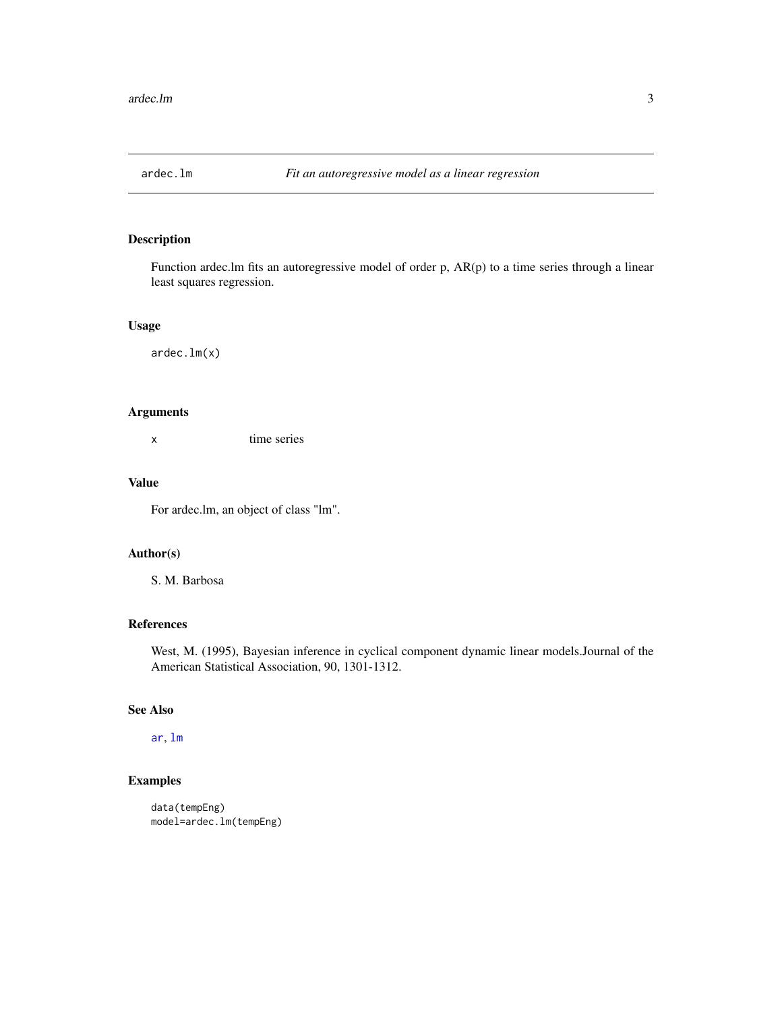<span id="page-2-0"></span>

Function ardec.lm fits an autoregressive model of order p, AR(p) to a time series through a linear least squares regression.

#### Usage

ardec.lm(x)

# Arguments

x time series

#### Value

For ardec.lm, an object of class "lm".

#### Author(s)

S. M. Barbosa

# References

West, M. (1995), Bayesian inference in cyclical component dynamic linear models.Journal of the American Statistical Association, 90, 1301-1312.

# See Also

[ar](#page-0-1), [lm](#page-0-1)

# Examples

```
data(tempEng)
model=ardec.lm(tempEng)
```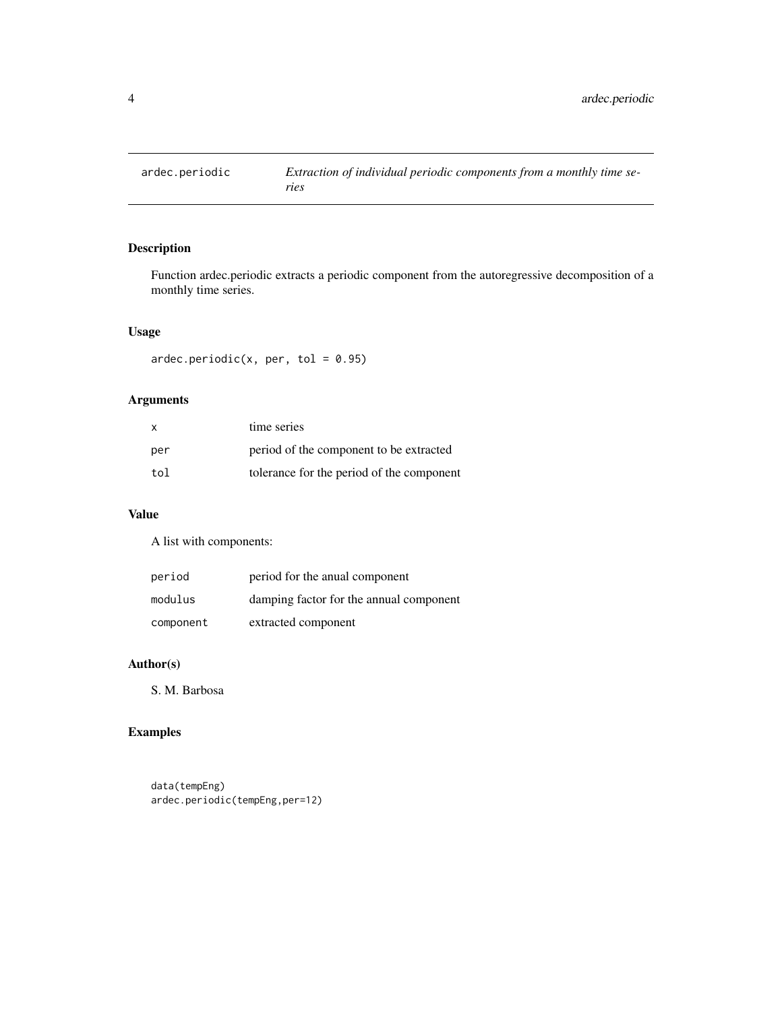<span id="page-3-0"></span>

Function ardec.periodic extracts a periodic component from the autoregressive decomposition of a monthly time series.

# Usage

ardec.periodic(x, per, tol =  $0.95$ )

# Arguments

| x   | time series                               |
|-----|-------------------------------------------|
| per | period of the component to be extracted   |
| tol | tolerance for the period of the component |

# Value

A list with components:

| period    | period for the anual component          |
|-----------|-----------------------------------------|
| modulus   | damping factor for the annual component |
| component | extracted component                     |

### Author(s)

S. M. Barbosa

# Examples

```
data(tempEng)
ardec.periodic(tempEng,per=12)
```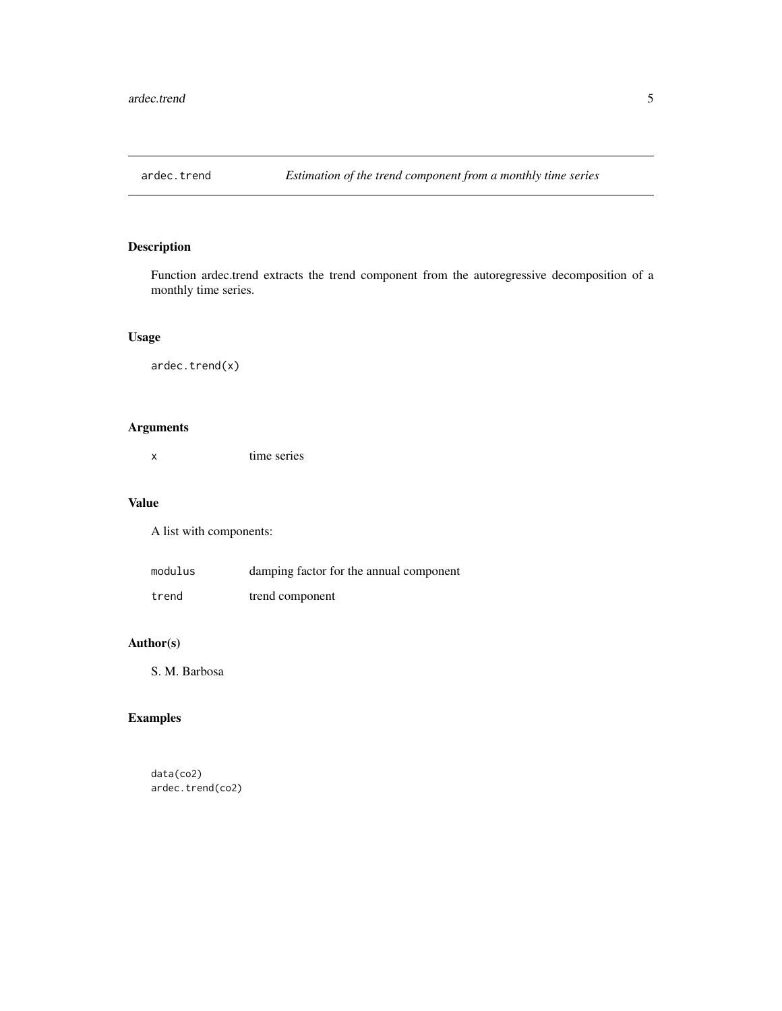<span id="page-4-0"></span>

Function ardec.trend extracts the trend component from the autoregressive decomposition of a monthly time series.

# Usage

ardec.trend(x)

# Arguments

x time series

#### Value

A list with components:

| modulus | damping factor for the annual component |
|---------|-----------------------------------------|
| trend   | trend component                         |

# Author(s)

S. M. Barbosa

# Examples

data(co2) ardec.trend(co2)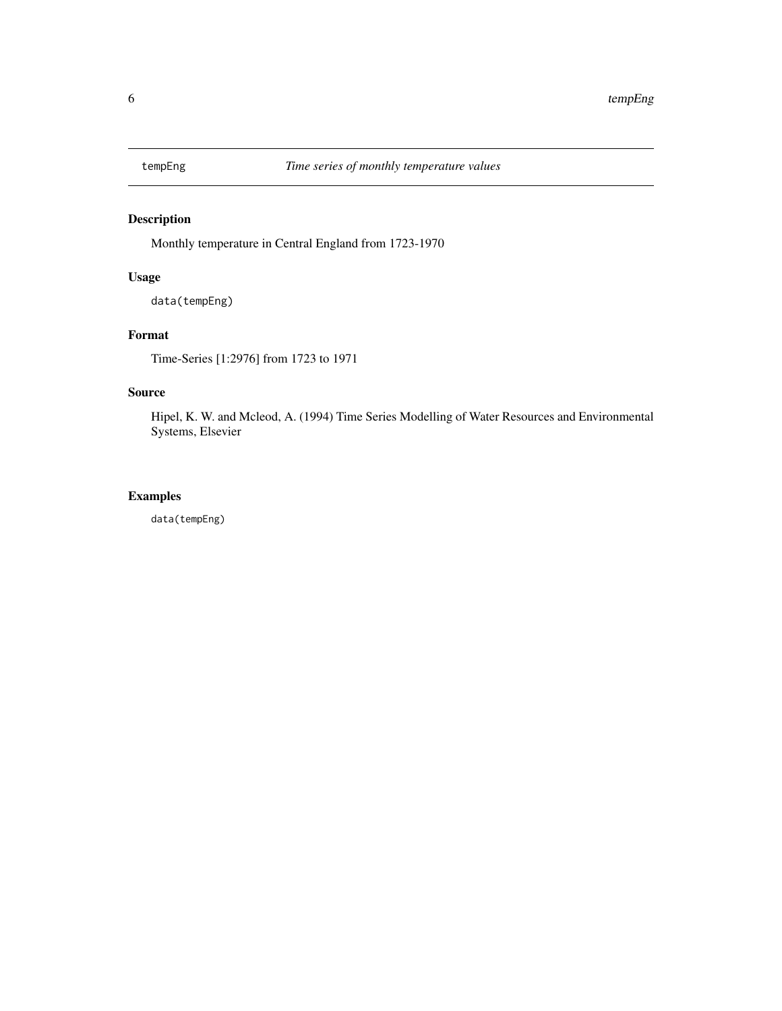<span id="page-5-0"></span>

Monthly temperature in Central England from 1723-1970

# Usage

data(tempEng)

# Format

Time-Series [1:2976] from 1723 to 1971

# Source

Hipel, K. W. and Mcleod, A. (1994) Time Series Modelling of Water Resources and Environmental Systems, Elsevier

# Examples

data(tempEng)